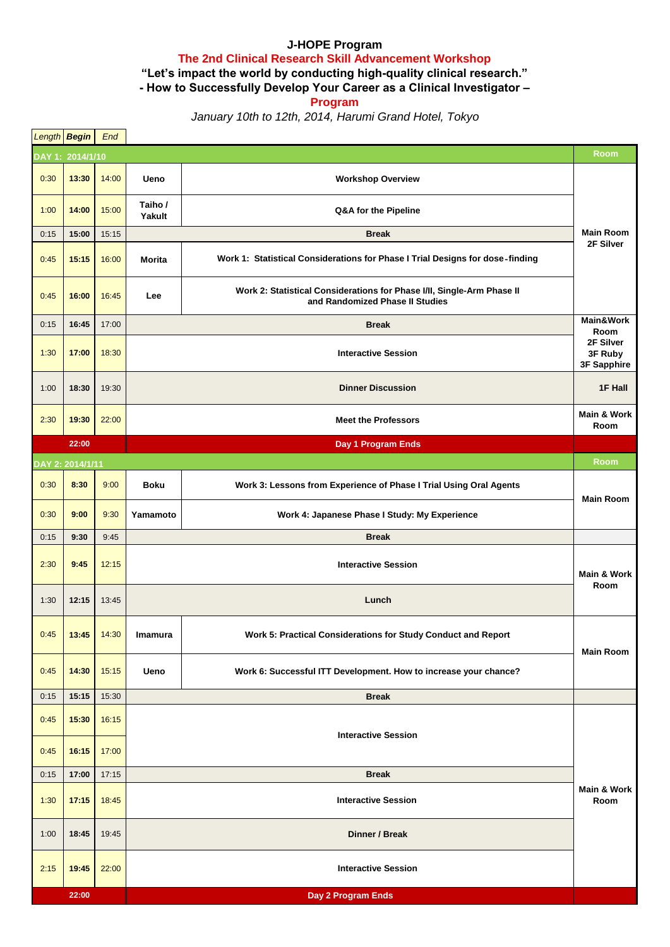## **J-HOPE Program The 2nd Clinical Research Skill Advancement Workshop "Let's impact the world by conducting high-quality clinical research."**

**- How to Successfully Develop Your Career as a Clinical Investigator –**

**Program**

## *January 10th to 12th, 2014, Harumi Grand Hotel, Tokyo*

|       | Length Begin     | End                |                            |                                                                                                           |                                             |  |  |  |
|-------|------------------|--------------------|----------------------------|-----------------------------------------------------------------------------------------------------------|---------------------------------------------|--|--|--|
|       | DAY 1: 2014/1/10 | <b>Room</b>        |                            |                                                                                                           |                                             |  |  |  |
| 0:30  | 13:30            | 14:00              | Ueno                       | <b>Workshop Overview</b>                                                                                  |                                             |  |  |  |
| 1:00  | 14:00            | 15:00              | Taiho /<br>Yakult          | Q&A for the Pipeline                                                                                      |                                             |  |  |  |
| 0:15  | 15:00            | 15:15              |                            | <b>Break</b>                                                                                              | <b>Main Room</b>                            |  |  |  |
| 0:45  | 15:15            | 16:00              | <b>Morita</b>              | Work 1: Statistical Considerations for Phase I Trial Designs for dose-finding                             | 2F Silver                                   |  |  |  |
| 0:45  | 16:00            | 16:45              | Lee                        | Work 2: Statistical Considerations for Phase I/II, Single-Arm Phase II<br>and Randomized Phase II Studies |                                             |  |  |  |
| 0:15  | 16:45            | 17:00              |                            | <b>Break</b>                                                                                              | Main&Work                                   |  |  |  |
| 1:30  | 17:00            | 18:30              | <b>Interactive Session</b> |                                                                                                           | Room<br>2F Silver<br>3F Ruby<br>3F Sapphire |  |  |  |
| 1:00  | 18:30            | 19:30              | <b>Dinner Discussion</b>   |                                                                                                           | 1F Hall                                     |  |  |  |
| 2:30  | 19:30            | 22:00              | <b>Meet the Professors</b> |                                                                                                           | Main & Work<br>Room                         |  |  |  |
|       | 22:00            |                    |                            | Day 1 Program Ends                                                                                        |                                             |  |  |  |
|       | DAY 2: 2014/1/11 |                    |                            |                                                                                                           | <b>Room</b>                                 |  |  |  |
| 0:30  | 8:30             | 9:00               | <b>Boku</b>                | Work 3: Lessons from Experience of Phase I Trial Using Oral Agents                                        | <b>Main Room</b>                            |  |  |  |
| 0:30  | 9:00             | 9:30               | Yamamoto                   | Work 4: Japanese Phase I Study: My Experience                                                             |                                             |  |  |  |
| 0:15  | 9:30             | 9:45               | <b>Break</b>               |                                                                                                           |                                             |  |  |  |
| 2:30  | 9:45             | 12:15              | <b>Interactive Session</b> |                                                                                                           | Main & Work<br>Room                         |  |  |  |
| 1:30  | 12:15            | 13:45              | Lunch                      |                                                                                                           |                                             |  |  |  |
| 0:45  |                  | 13:45 14:30        | Imamura                    | Work 5: Practical Considerations for Study Conduct and Report                                             | <b>Main Room</b>                            |  |  |  |
| 0:45  | 14:30            | 15:15              | Ueno                       | Work 6: Successful ITT Development. How to increase your chance?                                          |                                             |  |  |  |
| 0:15  | 15:15            | 15:30              | <b>Break</b>               |                                                                                                           |                                             |  |  |  |
| 0:45  | 15:30            | 16:15              | <b>Interactive Session</b> |                                                                                                           |                                             |  |  |  |
| 0:45  | 16:15            | 17:00              |                            |                                                                                                           |                                             |  |  |  |
| 0:15  | 17:00            | 17:15              | <b>Break</b>               |                                                                                                           |                                             |  |  |  |
| 1:30  | 17:15            | 18:45              | <b>Interactive Session</b> |                                                                                                           |                                             |  |  |  |
| 1:00  | 18:45            | 19:45              | Dinner / Break             |                                                                                                           |                                             |  |  |  |
| 2:15  | 19:45            | 22:00              | <b>Interactive Session</b> |                                                                                                           |                                             |  |  |  |
| 22:00 |                  | Day 2 Program Ends |                            |                                                                                                           |                                             |  |  |  |